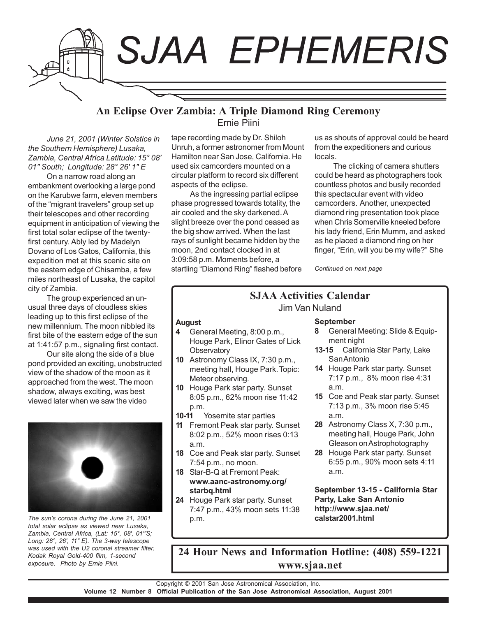

# **An Eclipse Over Zambia: A Triple Diamond Ring Ceremony** Ernie Piini

*June 21, 2001 (Winter Solstice in the Southern Hemisphere) Lusaka, Zambia, Central Africa Latitude: 15° 08' 01" South; Longitude: 28° 26' 1" E*

On a narrow road along an embankment overlooking a large pond on the Karubwe farm, eleven members of the "migrant travelers" group set up their telescopes and other recording equipment in anticipation of viewing the first total solar eclipse of the twentyfirst century. Ably led by Madelyn Dovano of Los Gatos, California, this expedition met at this scenic site on the eastern edge of Chisamba, a few miles northeast of Lusaka, the capitol city of Zambia.

The group experienced an unusual three days of cloudless skies leading up to this first eclipse of the new millennium. The moon nibbled its first bite of the eastern edge of the sun at 1:41:57 p.m., signaling first contact.

Our site along the side of a blue pond provided an exciting, unobstructed view of the shadow of the moon as it approached from the west. The moon shadow, always exciting, was best viewed later when we saw the video



*total solar eclipse as viewed near Lusaka, Zambia, Central Africa, (Lat: 15°, 08', 01'"S; Long: 28°, 26', 11" E). The 3-way telescope was used with the U2 coronal streamer filter, Kodak Royal Gold-400 film, 1-second exposure. Photo by Ernie Piini.*

tape recording made by Dr. Shiloh Unruh, a former astronomer from Mount Hamilton near San Jose, California. He used six camcorders mounted on a circular platform to record six different aspects of the eclipse.

As the ingressing partial eclipse phase progressed towards totality, the air cooled and the sky darkened. A slight breeze over the pond ceased as the big show arrived. When the last rays of sunlight became hidden by the moon, 2nd contact clocked in at 3:09:58 p.m. Moments before, a startling "Diamond Ring" flashed before us as shouts of approval could be heard from the expeditioners and curious locals.

The clicking of camera shutters could be heard as photographers took countless photos and busily recorded this spectacular event with video camcorders. Another, unexpected diamond ring presentation took place when Chris Somerville kneeled before his lady friend, Erin Mumm, and asked as he placed a diamond ring on her finger, "Erin, will you be my wife?" She

*Continued on next page*

## **SJAA Activities Calendar** Jim Van Nuland

#### **August**

- **4** General Meeting, 8:00 p.m., Houge Park, Elinor Gates of Lick **Observatory**
- **10** Astronomy Class IX, 7:30 p.m., meeting hall, Houge Park. Topic: Meteor observing.
- **10** Houge Park star party. Sunset 8:05 p.m., 62% moon rise 11:42 p.m.
- **10-11** Yosemite star parties
- **11** Fremont Peak star party. Sunset 8:02 p.m., 52% moon rises 0:13 a.m.
- **18** Coe and Peak star party. Sunset 7:54 p.m., no moon.
- **18** Star-B-Q at Fremont Peak: **www.aanc-astronomy.org/ starbq.html**
- **24** Houge Park star party. Sunset 7:47 p.m., 43% moon sets 11:38 p.m. *The sun's corona during the June 21, 2001* **calstar2001.html**

#### **September**

- **8** General Meeting: Slide & Equipment night
- **13-15** California Star Party, Lake San Antonio
- **14** Houge Park star party. Sunset 7:17 p.m., 8% moon rise 4:31 a.m.
- **15** Coe and Peak star party. Sunset 7:13 p.m., 3% moon rise 5:45 a.m.
- **28** Astronomy Class X, 7:30 p.m., meeting hall, Houge Park, John Gleason on Astrophotography
- **28** Houge Park star party. Sunset 6:55 p.m., 90% moon sets 4:11 a.m.

**September 13-15 - California Star Party, Lake San Antonio http://www.sjaa.net/**

**24 Hour News and Information Hotline: (408) 559-1221 www.sjaa.net**

Copyright © 2001 San Jose Astronomical Association, Inc. **Volume 12 Number 8 Official Publication of the San Jose Astronomical Association, August 2001**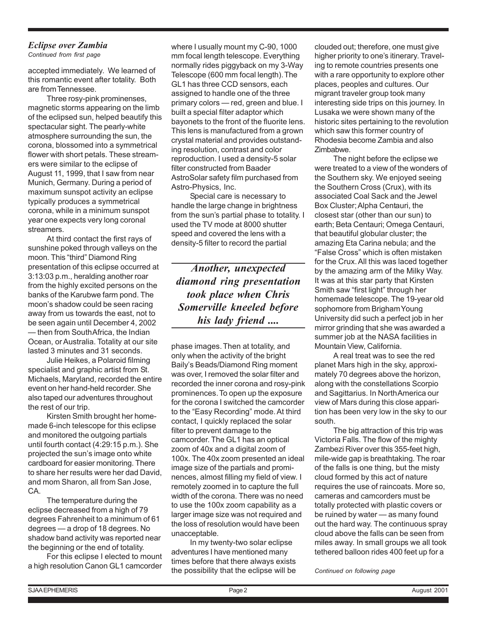# *Eclipse over Zambia*

*Continued from first page*

accepted immediately. We learned of this romantic event after totality. Both are from Tennessee.

Three rosy-pink prominenses, magnetic storms appearing on the limb of the eclipsed sun, helped beautify this spectacular sight. The pearly-white atmosphere surrounding the sun, the corona, blossomed into a symmetrical flower with short petals. These streamers were similar to the eclipse of August 11, 1999, that I saw from near Munich, Germany. During a period of maximum sunspot activity an eclipse typically produces a symmetrical corona, while in a minimum sunspot year one expects very long coronal streamers.

At third contact the first rays of sunshine poked through valleys on the moon. This "third" Diamond Ring presentation of this eclipse occurred at 3:13:03 p.m., heralding another roar from the highly excited persons on the banks of the Karubwe farm pond. The moon's shadow could be seen racing away from us towards the east, not to be seen again until December 4, 2002 — then from South Africa, the Indian Ocean, or Australia. Totality at our site lasted 3 minutes and 31 seconds.

Julie Heikes, a Polaroid filming specialist and graphic artist from St. Michaels, Maryland, recorded the entire event on her hand-held recorder. She also taped our adventures throughout the rest of our trip.

Kirsten Smith brought her homemade 6-inch telescope for this eclipse and monitored the outgoing partials until fourth contact (4:29:15 p.m.). She projected the sun's image onto white cardboard for easier monitoring. There to share her results were her dad David, and mom Sharon, all from San Jose, CA.

The temperature during the eclipse decreased from a high of 79 degrees Fahrenheit to a minimum of 61 degrees — a drop of 18 degrees. No shadow band activity was reported near the beginning or the end of totality.

For this eclipse I elected to mount a high resolution Canon GL1 camcorder

where I usually mount my C-90, 1000 mm focal length telescope. Everything normally rides piggyback on my 3-Way Telescope (600 mm focal length). The GL1 has three CCD sensors, each assigned to handle one of the three primary colors — red, green and blue. I built a special filter adaptor which bayonets to the front of the fluorite lens. This lens is manufactured from a grown crystal material and provides outstanding resolution, contrast and color reproduction. I used a density-5 solar filter constructed from Baader AstroSolar safety film purchased from Astro-Physics, Inc.

Special care is necessary to handle the large change in brightness from the sun's partial phase to totality. I used the TV mode at 8000 shutter speed and covered the lens with a density-5 filter to record the partial

*Another, unexpected diamond ring presentation took place when Chris Somerville kneeled before his lady friend ....*

phase images. Then at totality, and only when the activity of the bright Baily's Beads/Diamond Ring moment was over, I removed the solar filter and recorded the inner corona and rosy-pink prominences. To open up the exposure for the corona I switched the camcorder to the "Easy Recording" mode. At third contact, I quickly replaced the solar filter to prevent damage to the camcorder. The GL1 has an optical zoom of 40x and a digital zoom of 100x. The 40x zoom presented an ideal image size of the partials and prominences, almost filling my field of view. I remotely zoomed in to capture the full width of the corona. There was no need to use the 100x zoom capability as a larger image size was not required and the loss of resolution would have been unacceptable.

In my twenty-two solar eclipse adventures I have mentioned many times before that there always exists the possibility that the eclipse will be clouded out; therefore, one must give higher priority to one's itinerary. Traveling to remote countries presents one with a rare opportunity to explore other places, peoples and cultures. Our migrant traveler group took many interesting side trips on this journey. In Lusaka we were shown many of the historic sites pertaining to the revolution which saw this former country of Rhodesia become Zambia and also Zimbabwe.

The night before the eclipse we were treated to a view of the wonders of the Southern sky. We enjoyed seeing the Southern Cross (Crux), with its associated Coal Sack and the Jewel Box Cluster; Alpha Centauri, the closest star (other than our sun) to earth; Beta Centauri; Omega Centauri, that beautiful globular cluster; the amazing Eta Carina nebula; and the "False Cross" which is often mistaken for the Crux. All this was laced together by the amazing arm of the Milky Way. It was at this star party that Kirsten Smith saw "first light" through her homemade telescope. The 19-year old sophomore from Brigham Young University did such a perfect job in her mirror grinding that she was awarded a summer job at the NASA facilities in Mountain View, California.

A real treat was to see the red planet Mars high in the sky, approximately 70 degrees above the horizon, along with the constellations Scorpio and Sagittarius. In North America our view of Mars during this close apparition has been very low in the sky to our south.

The big attraction of this trip was Victoria Falls. The flow of the mighty Zambezi River over this 355-feet high, mile-wide gap is breathtaking. The roar of the falls is one thing, but the misty cloud formed by this act of nature requires the use of raincoats. More so, cameras and camcorders must be totally protected with plastic covers or be ruined by water — as many found out the hard way. The continuous spray cloud above the falls can be seen from miles away. In small groups we all took tethered balloon rides 400 feet up for a

*Continued on following page*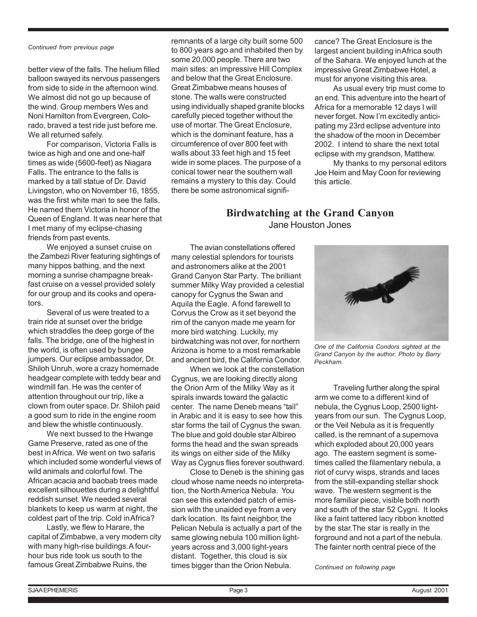*Continued from previous page*

better view of the falls. The helium filled balloon swayed its nervous passengers from side to side in the afternoon wind. We almost did not go up because of the wind. Group members Wes and Noni Hamilton from Evergreen, Colorado, braved a test ride just before me. We all returned safely.

For comparison, Victoria Falls is twice as high and one and one-half times as wide (5600-feet) as Niagara Falls. The entrance to the falls is marked by a tall statue of Dr. David Livingston, who on November 16, 1855, was the first white man to see the falls. He named them Victoria in honor of the Queen of England. It was near here that I met many of my eclipse-chasing friends from past events.

We enjoyed a sunset cruise on the Zambezi River featuring sightings of many hippos bathing, and the next morning a sunrise champagne breakfast cruise on a vessel provided solely for our group and its cooks and operators.

Several of us were treated to a train ride at sunset over the bridge which straddles the deep gorge of the falls. The bridge, one of the highest in the world, is often used by bungee jumpers. Our eclipse ambassador, Dr. Shiloh Unruh, wore a crazy homemade headgear complete with teddy bear and windmill fan. He was the center of attention throughout our trip, like a clown from outer space. Dr. Shiloh paid a good sum to ride in the engine room and blew the whistle continuously.

We next bussed to the Hwange Game Preserve, rated as one of the best in Africa. We went on two safaris which included some wonderful views of wild animals and colorful fowl. The African acacia and baobab trees made excellent silhouettes during a delightful reddish sunset. We needed several blankets to keep us warm at night, the coldest part of the trip. Cold in Africa?

Lastly, we flew to Harare, the capital of Zimbabwe, a very modern city with many high-rise buildings. A fourhour bus ride took us south to the famous Great Zimbabwe Ruins, the

remnants of a large city built some 500 to 800 years ago and inhabited then by some 20,000 people. There are two main sites: an impressive Hill Complex and below that the Great Enclosure. Great Zimbabwe means houses of stone. The walls were constructed using individually shaped granite blocks carefully pieced together without the use of mortar. The Great Enclosure, which is the dominant feature, has a circumference of over 800 feet with walls about 33 feet high and 15 feet wide in some places. The purpose of a conical tower near the southern wall remains a mystery to this day. Could there be some astronomical signifi-

cance? The Great Enclosure is the largest ancient building in Africa south of the Sahara. We enjoyed lunch at the impressive Great Zimbabwe Hotel, a must for anyone visiting this area.

As usual every trip must come to an end. This adventure into the heart of Africa for a memorable 12 days I will never forget. Now I'm excitedly anticipating my 23rd eclipse adventure into the shadow of the moon in December 2002. I intend to share the next total eclipse with my grandson, Matthew.

My thanks to my personal editors Joe Heim and May Coon for reviewing this article.

# **Birdwatching at the Grand Canyon** Jane Houston Jones

The avian constellations offered many celestial splendors for tourists and astronomers alike at the 2001 Grand Canyon Star Party. The brilliant summer Milky Way provided a celestial canopy for Cygnus the Swan and Aquila the Eagle. A fond farewell to Corvus the Crow as it set beyond the rim of the canyon made me yearn for more bird watching. Luckily, my birdwatching was not over, for northern Arizona is home to a most remarkable and ancient bird, the California Condor.

When we look at the constellation Cygnus, we are looking directly along the Orion Arm of the Milky Way as it spirals inwards toward the galactic center. The name Deneb means "tail" in Arabic and it is easy to see how this star forms the tail of Cygnus the swan. The blue and gold double star Albireo forms the head and the swan spreads its wings on either side of the Milky Way as Cygnus flies forever southward.

Close to Deneb is the shining gas cloud whose name needs no interpretation, the North America Nebula. You can see this extended patch of emission with the unaided eye from a very dark location. Its faint neighbor, the Pelican Nebula is actually a part of the same glowing nebula 100 million lightyears across and 3,000 light-years distant. Together, this cloud is six times bigger than the Orion Nebula.



*One of the California Condors sighted at the Grand Canyon by the author. Photo by Barry Peckham.*

Traveling further along the spiral arm we come to a different kind of nebula, the Cygnus Loop, 2500 lightyears from our sun. The Cygnus Loop, or the Veil Nebula as it is frequently called, is the remnant of a supernova which exploded about 20,000 years ago. The eastern segment is sometimes called the filamentary nebula, a riot of curvy wisps, strands and laces from the still-expanding stellar shock wave. The western segment is the more familiar piece, visible both north and south of the star 52 Cygni. It looks like a faint tattered lacy ribbon knotted by the star.The star is really in the forground and not a part of the nebula. The fainter north central piece of the

*Continued on following page*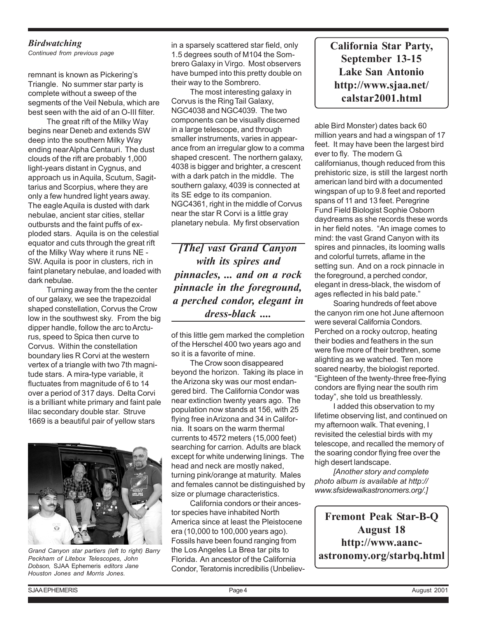## *Birdwatching*

*Continued from previous page*

remnant is known as Pickering's Triangle. No summer star party is complete without a sweep of the segments of the Veil Nebula, which are best seen with the aid of an O-III filter.

The great rift of the Milky Way begins near Deneb and extends SW deep into the southern Milky Way ending near Alpha Centauri. The dust clouds of the rift are probably 1,000 light-years distant in Cygnus, and approach us in Aquila, Scutum, Sagittarius and Scorpius, where they are only a few hundred light years away. The eagle Aquila is dusted with dark nebulae, ancient star cities, stellar outbursts and the faint puffs of exploded stars. Aquila is on the celestial equator and cuts through the great rift of the Milky Way where it runs NE - SW. Aquila is poor in clusters, rich in faint planetary nebulae, and loaded with dark nebulae.

Turning away from the the center of our galaxy, we see the trapezoidal shaped constellation, Corvus the Crow low in the southwest sky. From the big dipper handle, follow the arc to Arcturus, speed to Spica then curve to Corvus. Within the constellation boundary lies R Corvi at the western vertex of a triangle with two 7th magnitude stars. A mira-type variable, it fluctuates from magnitude of 6 to 14 over a period of 317 days. Delta Corvi is a brilliant white primary and faint pale lilac secondary double star. Struve 1669 is a beautiful pair of yellow stars



*Grand Canyon star partiers (left to right) Barry Peckham of Litebox Telescopes, John Dobson,* SJAA Ephemeris *editors Jane Houston Jones and Morris Jones.*

in a sparsely scattered star field, only 1.5 degrees south of M104 the Sombrero Galaxy in Virgo. Most observers have bumped into this pretty double on their way to the Sombrero.

The most interesting galaxy in Corvus is the Ring Tail Galaxy, NGC4038 and NGC4039. The two components can be visually discerned in a large telescope, and through smaller instruments, varies in appearance from an irregular glow to a comma shaped crescent. The northern galaxy, 4038 is bigger and brighter, a crescent with a dark patch in the middle. The southern galaxy, 4039 is connected at its SE edge to its companion. NGC4361, right in the middle of Corvus near the star R Corvi is a little gray planetary nebula. My first observation

*[The] vast Grand Canyon with its spires and pinnacles, ... and on a rock pinnacle in the foreground, a perched condor, elegant in dress-black ....*

of this little gem marked the completion of the Herschel 400 two years ago and so it is a favorite of mine.

The Crow soon disappeared beyond the horizon. Taking its place in the Arizona sky was our most endangered bird. The California Condor was near extinction twenty years ago. The population now stands at 156, with 25 flying free in Arizona and 34 in California. It soars on the warm thermal currents to 4572 meters (15,000 feet) searching for carrion. Adults are black except for white underwing linings. The head and neck are mostly naked, turning pink/orange at maturity. Males and females cannot be distinguished by size or plumage characteristics.

California condors or their ancestor species have inhabited North America since at least the Pleistocene era (10,000 to 100,000 years ago). Fossils have been found ranging from the Los Angeles La Brea tar pits to Florida. An ancestor of the California Condor, Teratornis incredibilis (Unbeliev**California Star Party, September 13-15 Lake San Antonio http://www.sjaa.net/ calstar2001.html**

able Bird Monster) dates back 60 million years and had a wingspan of 17 feet. It may have been the largest bird ever to fly. The modern G. californianus, though reduced from this prehistoric size, is still the largest north american land bird with a documented wingspan of up to 9.8 feet and reported spans of 11 and 13 feet. Peregrine Fund Field Biologist Sophie Osborn daydreams as she records these words in her field notes. "An image comes to mind: the vast Grand Canyon with its spires and pinnacles, its looming walls and colorful turrets, aflame in the setting sun. And on a rock pinnacle in the foreground, a perched condor, elegant in dress-black, the wisdom of ages reflected in his bald pate."

Soaring hundreds of feet above the canyon rim one hot June afternoon were several California Condors. Perched on a rocky outcrop, heating their bodies and feathers in the sun were five more of their brethren, some alighting as we watched. Ten more soared nearby, the biologist reported. "Eighteen of the twenty-three free-flying condors are flying near the south rim today", she told us breathlessly.

I added this observation to my lifetime observing list, and continued on my afternoon walk. That evening, I revisited the celestial birds with my telescope, and recalled the memory of the soaring condor flying free over the high desert landscape.

*[Another story and complete photo album is available at http:// www.sfsidewalkastronomers.org/.]*

**Fremont Peak Star-B-Q August 18 http://www.aancastronomy.org/starbq.html**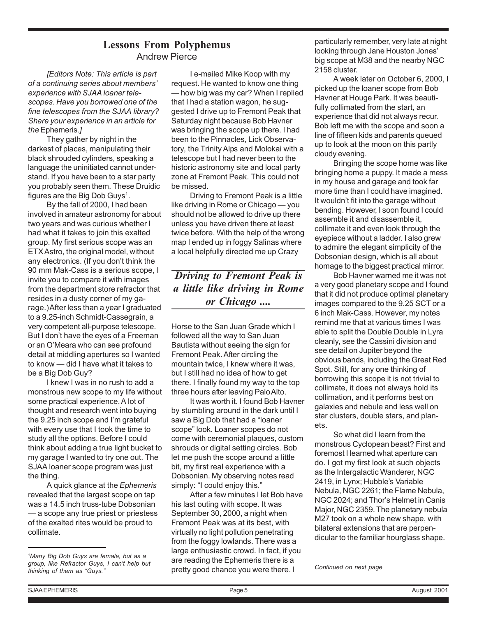# **Lessons From Polyphemus** Andrew Pierce

*[Editors Note: This article is part of a continuing series about members' experience with SJAA loaner telescopes. Have you borrowed one of the fine telescopes from the SJAA library? Share your experience in an article for the* Ephemeris*.]*

They gather by night in the darkest of places, manipulating their black shrouded cylinders, speaking a language the uninitiated cannot understand. If you have been to a star party you probably seen them. These Druidic figures are the Big Dob Guys $<sup>1</sup>$ .</sup>

By the fall of 2000, I had been involved in amateur astronomy for about two years and was curious whether I had what it takes to join this exalted group. My first serious scope was an ETX Astro, the original model, without any electronics. (If you don't think the 90 mm Mak-Cass is a serious scope, I invite you to compare it with images from the department store refractor that resides in a dusty corner of my garage.) After less than a year I graduated to a 9.25-inch Schmidt-Cassegrain, a very competent all-purpose telescope. But I don't have the eyes of a Freeman or an O'Meara who can see profound detail at middling apertures so I wanted to know — did I have what it takes to be a Big Dob Guy?

I knew I was in no rush to add a monstrous new scope to my life without some practical experience. A lot of thought and research went into buying the 9.25 inch scope and I'm grateful with every use that I took the time to study all the options. Before I could think about adding a true light bucket to my garage I wanted to try one out. The SJAA loaner scope program was just the thing.

A quick glance at the *Ephemeris* revealed that the largest scope on tap was a 14.5 inch truss-tube Dobsonian — a scope any true priest or priestess of the exalted rites would be proud to collimate.

I e-mailed Mike Koop with my request. He wanted to know one thing — how big was my car? When I replied that I had a station wagon, he suggested I drive up to Fremont Peak that Saturday night because Bob Havner was bringing the scope up there. I had been to the Pinnacles, Lick Observatory, the Trinity Alps and Molokai with a telescope but I had never been to the historic astronomy site and local party zone at Fremont Peak. This could not be missed.

Driving to Fremont Peak is a little like driving in Rome or Chicago — you should not be allowed to drive up there unless you have driven there at least twice before. With the help of the wrong map I ended up in foggy Salinas where a local helpfully directed me up Crazy

# *Driving to Fremont Peak is a little like driving in Rome or Chicago ....*

Horse to the San Juan Grade which I followed all the way to San Juan Bautista without seeing the sign for Fremont Peak. After circling the mountain twice, I knew where it was, but I still had no idea of how to get there. I finally found my way to the top three hours after leaving Palo Alto.

It was worth it. I found Bob Havner by stumbling around in the dark until I saw a Big Dob that had a "loaner scope" look. Loaner scopes do not come with ceremonial plaques, custom shrouds or digital setting circles. Bob let me push the scope around a little bit, my first real experience with a Dobsonian. My observing notes read simply: "I could enjoy this."

After a few minutes I let Bob have his last outing with scope. It was September 30, 2000, a night when Fremont Peak was at its best, with virtually no light pollution penetrating from the foggy lowlands. There was a large enthusiastic crowd. In fact, if you are reading the Ephemeris there is a pretty good chance you were there. I

particularly remember, very late at night looking through Jane Houston Jones' big scope at M38 and the nearby NGC 2158 cluster.

A week later on October 6, 2000, I picked up the loaner scope from Bob Havner at Houge Park. It was beautifully collimated from the start, an experience that did not always recur. Bob left me with the scope and soon a line of fifteen kids and parents queued up to look at the moon on this partly cloudy evening.

Bringing the scope home was like bringing home a puppy. It made a mess in my house and garage and took far more time than I could have imagined. It wouldn't fit into the garage without bending. However, I soon found I could assemble it and disassemble it, collimate it and even look through the eyepiece without a ladder. I also grew to admire the elegant simplicity of the Dobsonian design, which is all about homage to the biggest practical mirror.

Bob Havner warned me it was not a very good planetary scope and I found that it did not produce optimal planetary images compared to the 9.25 SCT or a 6 inch Mak-Cass. However, my notes remind me that at various times I was able to split the Double Double in Lyra cleanly, see the Cassini division and see detail on Jupiter beyond the obvious bands, including the Great Red Spot. Still, for any one thinking of borrowing this scope it is not trivial to collimate, it does not always hold its collimation, and it performs best on galaxies and nebule and less well on star clusters, double stars, and planets.

So what did I learn from the monstrous Cyclopean beast? First and foremost I learned what aperture can do. I got my first look at such objects as the Intergalactic Wanderer, NGC 2419, in Lynx; Hubble's Variable Nebula, NGC 2261; the Flame Nebula, NGC 2024; and Thor's Helmet in Canis Major, NGC 2359. The planetary nebula M27 took on a whole new shape, with bilateral extensions that are perpendicular to the familiar hourglass shape.

*Continued on next page*

<sup>1</sup> *Many Big Dob Guys are female, but as a group, like Refractor Guys, I can't help but thinking of them as "Guys."*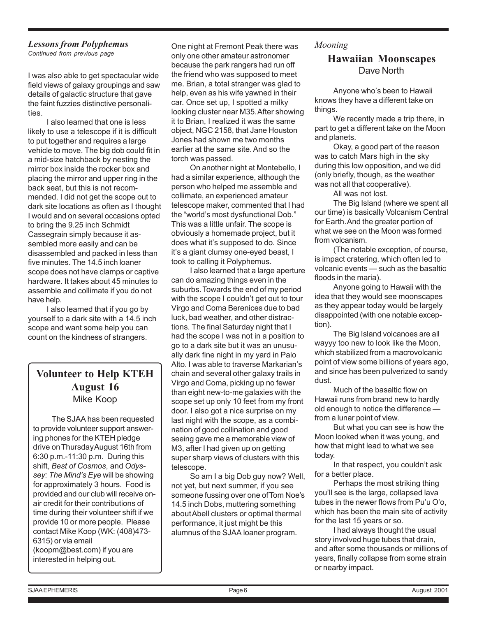# *Lessons from Polyphemus*

*Continued from previous page*

I was also able to get spectacular wide field views of galaxy groupings and saw details of galactic structure that gave the faint fuzzies distinctive personalities.

I also learned that one is less likely to use a telescope if it is difficult to put together and requires a large vehicle to move. The big dob could fit in a mid-size hatchback by nesting the mirror box inside the rocker box and placing the mirror and upper ring in the back seat, but this is not recommended. I did not get the scope out to dark site locations as often as I thought I would and on several occasions opted to bring the 9.25 inch Schmidt Cassegrain simply because it assembled more easily and can be disassembled and packed in less than five minutes. The 14.5 inch loaner scope does not have clamps or captive hardware. It takes about 45 minutes to assemble and collimate if you do not have help.

I also learned that if you go by yourself to a dark site with a 14.5 inch scope and want some help you can count on the kindness of strangers.

# **Volunteer to Help KTEH August 16** Mike Koop

The SJAA has been requested to provide volunteer support answering phones for the KTEH pledge drive on Thursday August 16th from 6:30 p.m.-11:30 p.m. During this shift, *Best of Cosmos*, and *Odyssey: The Mind's Eye* will be showing for approximately 3 hours. Food is provided and our club will receive onair credit for their contributions of time during their volunteer shift if we provide 10 or more people. Please contact Mike Koop (WK: (408)473- 6315) or via email (koopm@best.com) if you are interested in helping out.

One night at Fremont Peak there was only one other amateur astronomer because the park rangers had run off the friend who was supposed to meet me. Brian, a total stranger was glad to help, even as his wife yawned in their car. Once set up, I spotted a milky looking cluster near M35. After showing it to Brian, I realized it was the same object, NGC 2158, that Jane Houston Jones had shown me two months earlier at the same site. And so the torch was passed.

On another night at Montebello, I had a similar experience, although the person who helped me assemble and collimate, an experienced amateur telescope maker, commented that I had the "world's most dysfunctional Dob." This was a little unfair. The scope is obviously a homemade project, but it does what it's supposed to do. Since it's a giant clumsy one-eyed beast, I took to calling it Polyphemus.

I also learned that a large aperture can do amazing things even in the suburbs. Towards the end of my period with the scope I couldn't get out to tour Virgo and Coma Berenices due to bad luck, bad weather, and other distractions. The final Saturday night that I had the scope I was not in a position to go to a dark site but it was an unusually dark fine night in my yard in Palo Alto. I was able to traverse Markarian's chain and several other galaxy trails in Virgo and Coma, picking up no fewer than eight new-to-me galaxies with the scope set up only 10 feet from my front door. I also got a nice surprise on my last night with the scope, as a combination of good collination and good seeing gave me a memorable view of M3, after I had given up on getting super sharp views of clusters with this telescope.

So am I a big Dob guy now? Well, not yet, but next summer, if you see someone fussing over one of Tom Noe's 14.5 inch Dobs, muttering something about Abell clusters or optimal thermal performance, it just might be this alumnus of the SJAA loaner program.

## *Mooning*

## **Hawaiian Moonscapes** Dave North

Anyone who's been to Hawaii knows they have a different take on things.

We recently made a trip there, in part to get a different take on the Moon and planets.

Okay, a good part of the reason was to catch Mars high in the sky during this low opposition, and we did (only briefly, though, as the weather was not all that cooperative).

All was not lost.

The Big Island (where we spent all our time) is basically Volcanism Central for Earth. And the greater portion of what we see on the Moon was formed from volcanism.

(The notable exception, of course, is impact cratering, which often led to volcanic events — such as the basaltic floods in the maria).

Anyone going to Hawaii with the idea that they would see moonscapes as they appear today would be largely disappointed (with one notable exception).

The Big Island volcanoes are all wayyy too new to look like the Moon, which stabilized from a macrovolcanic point of view some billions of years ago, and since has been pulverized to sandy dust.

Much of the basaltic flow on Hawaii runs from brand new to hardly old enough to notice the difference from a lunar point of view.

But what you can see is how the Moon looked when it was young, and how that might lead to what we see today.

In that respect, you couldn't ask for a better place.

Perhaps the most striking thing you'll see is the large, collapsed lava tubes in the newer flows from Pu'u O'o, which has been the main site of activity for the last 15 years or so.

I had always thought the usual story involved huge tubes that drain, and after some thousands or millions of years, finally collapse from some strain or nearby impact.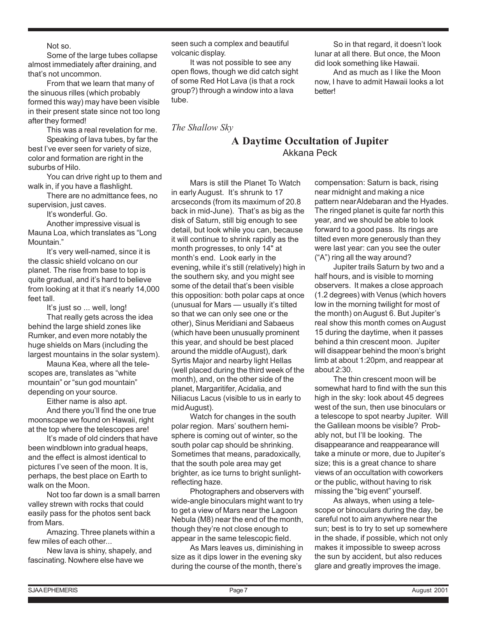Not so.

Some of the large tubes collapse almost immediately after draining, and that's not uncommon.

From that we learn that many of the sinuous rilles (which probably formed this way) may have been visible in their present state since not too long after they formed!

This was a real revelation for me. Speaking of lava tubes, by far the best I've ever seen for variety of size, color and formation are right in the suburbs of Hilo.

You can drive right up to them and walk in, if you have a flashlight.

There are no admittance fees, no supervision, just caves.

It's wonderful. Go.

Another impressive visual is Mauna Loa, which translates as "Long Mountain."

It's very well-named, since it is the classic shield volcano on our planet. The rise from base to top is quite gradual, and it's hard to believe from looking at it that it's nearly 14,000 feet tall.

It's just so ... well, long! That really gets across the idea behind the large shield zones like Rumker, and even more notably the huge shields on Mars (including the largest mountains in the solar system).

Mauna Kea, where all the telescopes are, translates as "white mountain" or "sun god mountain" depending on your source.

Either name is also apt.

And there you'll find the one true moonscape we found on Hawaii, right at the top where the telescopes are!

It's made of old cinders that have been windblown into gradual heaps, and the effect is almost identical to pictures I've seen of the moon. It is, perhaps, the best place on Earth to walk on the Moon.

Not too far down is a small barren valley strewn with rocks that could easily pass for the photos sent back from Mars.

Amazing. Three planets within a few miles of each other...

New lava is shiny, shapely, and fascinating. Nowhere else have we

seen such a complex and beautiful volcanic display.

It was not possible to see any open flows, though we did catch sight of some Red Hot Lava (is that a rock group?) through a window into a lava tube.

*The Shallow Sky*

So in that regard, it doesn't look lunar at all there. But once, the Moon did look something like Hawaii.

And as much as I like the Moon now, I have to admit Hawaii looks a lot better!

# **A Daytime Occultation of Jupiter** Akkana Peck

Mars is still the Planet To Watch in early August. It's shrunk to 17 arcseconds (from its maximum of 20.8 back in mid-June). That's as big as the disk of Saturn, still big enough to see detail, but look while you can, because it will continue to shrink rapidly as the month progresses, to only 14" at month's end. Look early in the evening, while it's still (relatively) high in the southern sky, and you might see some of the detail that's been visible this opposition: both polar caps at once (unusual for Mars — usually it's tilted so that we can only see one or the other), Sinus Meridiani and Sabaeus (which have been unusually prominent this year, and should be best placed around the middle of August), dark Syrtis Major and nearby light Hellas (well placed during the third week of the month), and, on the other side of the planet, Margaritifer, Acidalia, and Niliacus Lacus (visible to us in early to mid August).

Watch for changes in the south polar region. Mars' southern hemisphere is coming out of winter, so the south polar cap should be shrinking. Sometimes that means, paradoxically, that the south pole area may get brighter, as ice turns to bright sunlightreflecting haze.

Photographers and observers with wide-angle binoculars might want to try to get a view of Mars near the Lagoon Nebula (M8) near the end of the month, though they're not close enough to appear in the same telescopic field.

As Mars leaves us, diminishing in size as it dips lower in the evening sky during the course of the month, there's

compensation: Saturn is back, rising near midnight and making a nice pattern near Aldebaran and the Hyades. The ringed planet is quite far north this year, and we should be able to look forward to a good pass. Its rings are tilted even more generously than they were last year: can you see the outer ("A") ring all the way around?

Jupiter trails Saturn by two and a half hours, and is visible to morning observers. It makes a close approach (1.2 degrees) with Venus (which hovers low in the morning twilight for most of the month) on August 6. But Jupiter's real show this month comes on August 15 during the daytime, when it passes behind a thin crescent moon. Jupiter will disappear behind the moon's bright limb at about 1:20pm, and reappear at about 2:30.

The thin crescent moon will be somewhat hard to find with the sun this high in the sky: look about 45 degrees west of the sun, then use binoculars or a telescope to spot nearby Jupiter. Will the Galilean moons be visible? Probably not, but I'll be looking. The disappearance and reappearance will take a minute or more, due to Jupiter's size; this is a great chance to share views of an occultation with coworkers or the public, without having to risk missing the "big event" yourself.

As always, when using a telescope or binoculars during the day, be careful not to aim anywhere near the sun; best is to try to set up somewhere in the shade, if possible, which not only makes it impossible to sweep across the sun by accident, but also reduces glare and greatly improves the image.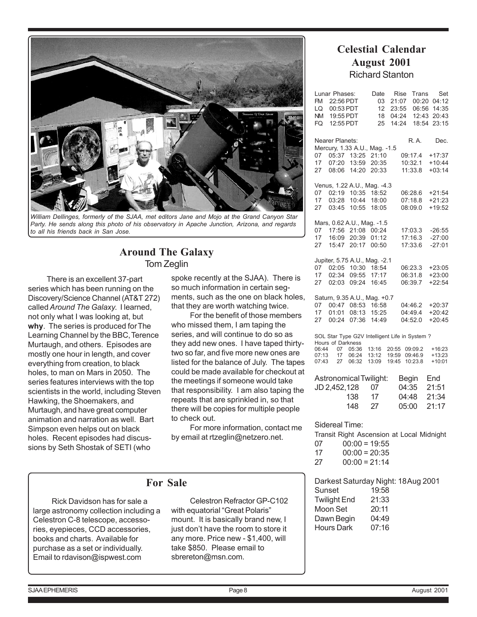

*William Dellinges, formerly of the SJAA, met editors Jane and Mojo at the Grand Canyon Star Party. He sends along this photo of his observatory in Apache Junction, Arizona, and regards to all his friends back in San Jose.*

## **Around The Galaxy** Tom Zeglin

There is an excellent 37-part series which has been running on the Discovery/Science Channel (AT&T 272) called *Around The Galaxy*. I learned, not only what I was looking at, but **why**. The series is produced for The Learning Channel by the BBC, Terence Murtaugh, and others. Episodes are mostly one hour in length, and cover everything from creation, to black holes, to man on Mars in 2050. The series features interviews with the top scientists in the world, including Steven Hawking, the Shoemakers, and Murtaugh, and have great computer animation and narration as well. Bart Simpson even helps out on black holes. Recent episodes had discussions by Seth Shostak of SETI (who

spoke recently at the SJAA). There is so much information in certain segments, such as the one on black holes, that they are worth watching twice.

For the benefit of those members who missed them, I am taping the series, and will continue to do so as they add new ones. I have taped thirtytwo so far, and five more new ones are listed for the balance of July. The tapes could be made available for checkout at the meetings if someone would take that responsibility. I am also taping the repeats that are sprinkled in, so that there will be copies for multiple people to check out.

For more information, contact me by email at rtzeglin@netzero.net.

# **For Sale**

Rick Davidson has for sale a large astronomy collection including a Celestron C-8 telescope, accessories, eyepieces, CCD accessories, books and charts. Available for purchase as a set or individually. Email to rdavison@ispwest.com

Celestron Refractor GP-C102 with equatorial "Great Polaris" mount. It is basically brand new, I just don't have the room to store it any more. Price new - \$1,400, will take \$850. Please email to sbrereton@msn.com.

# **Celestial Calendar August 2001** Richard Stanton

| Lunar Phases:<br>FM<br>22:56 PDT<br>LQ<br>00:53 PDT<br>19:55 PDT<br>NM.<br>12:55 PDT<br>FQ                                                                                                                                                                            | Date<br>03<br>12<br>18<br>25 | Rise<br>Trans<br>21:07<br>00:20<br>06:56<br>23:55<br>04:24<br>12:43<br>14:24<br>18:54 | Set<br>04:12<br>14:35<br>20:43<br>23:15  |
|-----------------------------------------------------------------------------------------------------------------------------------------------------------------------------------------------------------------------------------------------------------------------|------------------------------|---------------------------------------------------------------------------------------|------------------------------------------|
| <b>Nearer Planets:</b><br>Mercury, 1.33 A.U., Mag. -1.5<br>05:37<br>13:25<br>07<br>17<br>07:20<br>13:59<br>14:20<br>27<br>08:06                                                                                                                                       | 21:10<br>20:35<br>20:33      | R.A.<br>09:17.4<br>10:32.1<br>11:33.8                                                 | Dec.<br>$+17:37$<br>$+10:44$<br>$+03:14$ |
| Venus, 1.22 A.U., Mag. -4.3<br>10:35<br>07<br>02:19<br>17<br>03:28<br>10:44<br>10:55<br>03:45<br>27                                                                                                                                                                   | 18:52<br>18:00<br>18:05      | 06:28.6<br>07:18.8<br>08:09.0                                                         | $+21:54$<br>$+21:23$<br>$+19:52$         |
| Mars, 0.62 A.U., Mag. -1.5<br>17:56<br>21:08<br>07<br>20:39<br>17<br>16:09<br>27<br>15:47<br>20:17                                                                                                                                                                    | 00:24<br>01:12<br>00:50      | 17:03.3<br>17:16.3<br>17:33.6                                                         | $-26:55$<br>$-27:00$<br>$-27:01$         |
| Jupiter, 5.75 A.U., Mag. -2.1<br>02:05<br>10:30<br>07<br>17<br>02:34<br>09:55<br>09:24<br>27<br>02:03                                                                                                                                                                 | 18:54<br>17:17<br>16:45      | 06:23.3<br>06:31.8<br>06:39.7                                                         | $+23:05$<br>$+23:00$<br>$+22:54$         |
| Saturn, 9.35 A.U., Mag. +0.7<br>00:47<br>08:53<br>07<br>17<br>01:01<br>08:13<br>07:36<br>27<br>00:24                                                                                                                                                                  | 16:58<br>15:25<br>14:49      | 04:46.2<br>04:49.4<br>04:52.0                                                         | $+20:37$<br>$+20:42$<br>$+20:45$         |
| SOL Star Type G2V Intelligent Life in System?<br>Hours of Darkness<br>06:44<br>20:55<br>07<br>05:36<br>13:16<br>09:09.2<br>$+16:23$<br>07:13<br>17<br>06:24<br>13:12<br>19:59<br>09:46.9<br>$+13:23$<br>07:43<br>06:32<br>13:09<br>19:45<br>10:23.8<br>$+10:01$<br>27 |                              |                                                                                       |                                          |
| Astronomical Twilight:<br>JD 2,452,128<br>138<br>148                                                                                                                                                                                                                  | 07<br>17<br>27               | <b>Begin</b><br>04:35<br>04:48<br>05:00                                               | End<br>21:51<br>21:34<br>21:17           |
| Sidereal Time:<br>Transit Right Ascension at Local Midnight<br>$00:00 = 19:55$<br>07<br>17<br>$00:00 = 20:35$                                                                                                                                                         |                              |                                                                                       |                                          |

 $27$   $00:00 = 21:14$ 

Darkest Saturday Night: 18 Aug 2001 Sunset 19:58 Twilight End 21:33 Moon Set 20:11 Dawn Begin 04:49 Hours Dark 07:16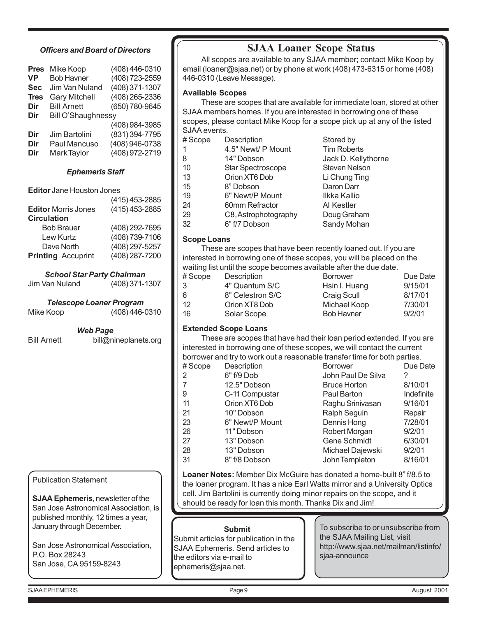## *Officers and Board of Directors*

| <b>Pres</b> | Mike Koop            | (408) 446-0310 |  |
|-------------|----------------------|----------------|--|
| VP          | <b>Bob Havner</b>    | (408) 723-2559 |  |
| <b>Sec</b>  | Jim Van Nuland       | (408) 371-1307 |  |
| <b>Tres</b> | <b>Gary Mitchell</b> | (408) 265-2336 |  |
| Dir         | <b>Bill Arnett</b>   | (650) 780-9645 |  |
| Dir         | Bill O'Shaughnessy   |                |  |
|             |                      | (408) 984-3985 |  |
| Dir         | Jim Bartolini        | (831) 394-7795 |  |
| Dir         | Paul Mancuso         | (408) 946-0738 |  |
| Dir         | <b>MarkTaylor</b>    | (408) 972-2719 |  |

## *Ephemeris Staff*

**Editor** Jane Houston Jones

| (415) 453-2885 |
|----------------|
| (415) 453-2885 |
|                |
| (408) 292-7695 |
| (408) 739-7106 |
| (408) 297-5257 |
| (408) 287-7200 |
|                |

*School Star Party Chairman*

| Jim Van Nuland | $(408)$ 371-1307 |
|----------------|------------------|
|----------------|------------------|

|                | <b>Telescope Loaner Program</b> |
|----------------|---------------------------------|
| . . <b>. .</b> | $(100)$ $(10)$                  |

*Web Page*

Bill Arnett bill@nineplanets.org

Publication Statement

**SJAA Ephemeris**, newsletter of the San Jose Astronomical Association, is published monthly, 12 times a year, January through December.

San Jose Astronomical Association, P.O. Box 28243 San Jose, CA 95159-8243

# **SJAA Loaner Scope Status**

All scopes are available to any SJAA member; contact Mike Koop by email (loaner@sjaa.net) or by phone at work (408) 473-6315 or home (408) 446-0310 (Leave Message).

## **Available Scopes**

These are scopes that are available for immediate loan, stored at other SJAA members homes. If you are interested in borrowing one of these scopes, please contact Mike Koop for a scope pick up at any of the listed SJAA events.

| #Scope | Description          | Stored by            |
|--------|----------------------|----------------------|
|        | 4.5" Newt/ P Mount   | <b>Tim Roberts</b>   |
| 8      | 14" Dobson           | Jack D. Kellythorne  |
| 10     | Star Spectroscope    | <b>Steven Nelson</b> |
| 13     | Orion XT6 Dob        | Li Chung Ting        |
| 15     | 8" Dobson            | Daron Darr           |
| 19     | 6" Newt/P Mount      | Ilkka Kallio         |
| 24     | 60mm Refractor       | Al Kestler           |
| 29     | C8, Astrophotography | Doug Graham          |
| 32     | 6" f/7 Dobson        | Sandy Mohan          |
|        |                      |                      |

#### **Scope Loans**

These are scopes that have been recently loaned out. If you are interested in borrowing one of these scopes, you will be placed on the waiting list until the scope becomes available after the due date.

| # Scope | Description      | <b>Borrower</b>    | Due Date |
|---------|------------------|--------------------|----------|
| 3       | 4" Quantum S/C   | Hsin I. Huang      | 9/15/01  |
| 6       | 8" Celestron S/C | <b>Craig Scull</b> | 8/17/01  |
| 12      | Orion XT8 Dob    | Michael Koop       | 7/30/01  |
| 16      | Solar Scope      | <b>Bob Havner</b>  | 9/2/01   |

## **Extended Scope Loans**

These are scopes that have had their loan period extended. If you are interested in borrowing one of these scopes, we will contact the current borrower and try to work out a reasonable transfer time for both parties.

| #Scope | Description     | <b>Borrower</b>     | Due Date   |
|--------|-----------------|---------------------|------------|
| 2      | 6" f/9 Dob      | John Paul De Silva  | ?          |
| 7      | 12.5" Dobson    | <b>Bruce Horton</b> | 8/10/01    |
| -9     | C-11 Compustar  | Paul Barton         | Indefinite |
| 11     | Orion XT6 Dob   | Raghu Srinivasan    | 9/16/01    |
| 21     | 10" Dobson      | Ralph Seguin        | Repair     |
| 23     | 6" Newt/P Mount | Dennis Hong         | 7/28/01    |
| 26     | 11" Dobson      | Robert Morgan       | 9/2/01     |
| 27     | 13" Dobson      | Gene Schmidt        | 6/30/01    |
| 28     | 13" Dobson      | Michael Dajewski    | 9/2/01     |
| 31     | 8" f/8 Dobson   | John Templeton      | 8/16/01    |
|        |                 |                     |            |

**Loaner Notes:** Member Dix McGuire has donated a home-built 8" f/8.5 to the loaner program. It has a nice Earl Watts mirror and a University Optics cell. Jim Bartolini is currently doing minor repairs on the scope, and it should be ready for loan this month. Thanks Dix and Jim!

#### **Submit**

Submit articles for publication in the SJAA Ephemeris. Send articles to the editors via e-mail to ephemeris@sjaa.net.

To subscribe to or unsubscribe from the SJAA Mailing List, visit http://www.sjaa.net/mailman/listinfo/ sjaa-announce

SJAA EPHEMERIS Page 9 August 2001